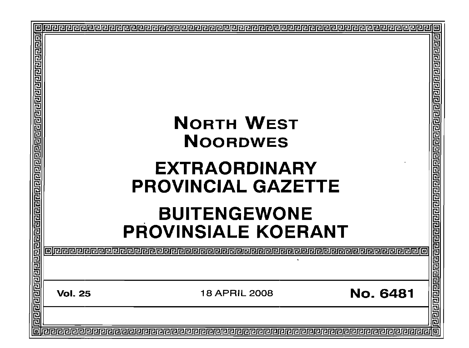|   |                                                   | <b>NORTH WEST</b><br><b>NOORDWES</b><br><b>EXTRAORDINARY</b><br><b>PROVINCIAL GAZETTE</b> |                 | 回  |
|---|---------------------------------------------------|-------------------------------------------------------------------------------------------|-----------------|----|
|   | <b>BUITENGEWONE</b><br><b>PROVINSIALE KOERANT</b> |                                                                                           |                 |    |
|   | <b>Vol. 25</b>                                    | 18 APRIL 2008                                                                             | <b>No. 6481</b> |    |
| 同 |                                                   |                                                                                           |                 | तन |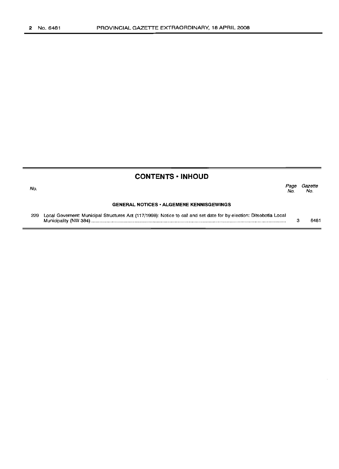No.

## **CONTENTS • INHOUD**

Page Gazette<br>No. No. No. No.

#### **GENERAL NOTICES· ALGEMENE KENNISGEWINGS**

229 Local Governent: Municipal Structures Act (117/1998): Notice to call and set date for by-election: Ditsobotla Local Municipality (NW 384) . 3 6481